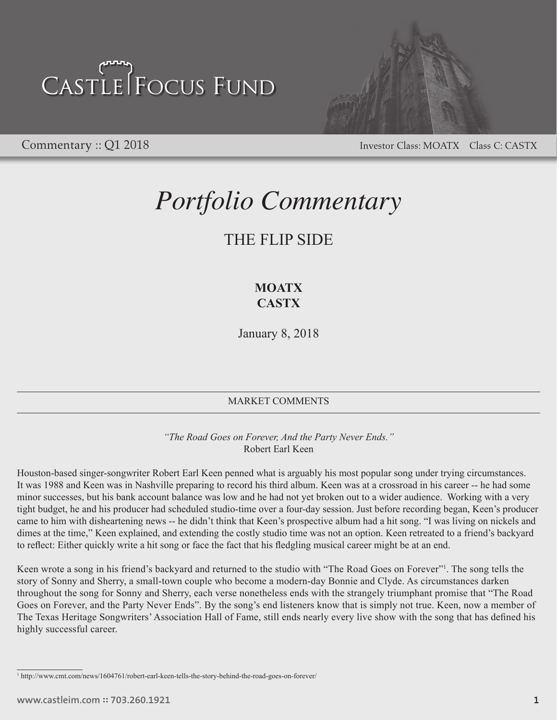

Commentary :: Q1 2018 Investor Class: MOATX Class C: CASTX

### *Portfolio Commentary*

### THE FLIP SIDE

### **MOATX CASTX**

January 8, 2018

#### MARKET COMMENTS

*"The Road Goes on Forever, And the Party Never Ends."* Robert Earl Keen

Houston-based singer-songwriter Robert Earl Keen penned what is arguably his most popular song under trying circumstances. It was 1988 and Keen was in Nashville preparing to record his third album. Keen was at a crossroad in his career -- he had some minor successes, but his bank account balance was low and he had not yet broken out to a wider audience. Working with a very tight budget, he and his producer had scheduled studio-time over a four-day session. Just before recording began, Keen's producer came to him with disheartening news -- he didn't think that Keen's prospective album had a hit song. "I was living on nickels and dimes at the time," Keen explained, and extending the costly studio time was not an option. Keen retreated to a friend's backyard to reflect: Either quickly write a hit song or face the fact that his fledgling musical career might be at an end.

Keen wrote a song in his friend's backyard and returned to the studio with "The Road Goes on Forever"<sup>1</sup>. The song tells the story of Sonny and Sherry, a small-town couple who become a modern-day Bonnie and Clyde. As circumstances darken throughout the song for Sonny and Sherry, each verse nonetheless ends with the strangely triumphant promise that "The Road Goes on Forever, and the Party Never Ends". By the song's end listeners know that is simply not true. Keen, now a member of The Texas Heritage Songwriters' Association Hall of Fame, still ends nearly every live show with the song that has defined his highly successful career.

<sup>1</sup> http://www.cmt.com/news/1604761/robert-earl-keen-tells-the-story-behind-the-road-goes-on-forever/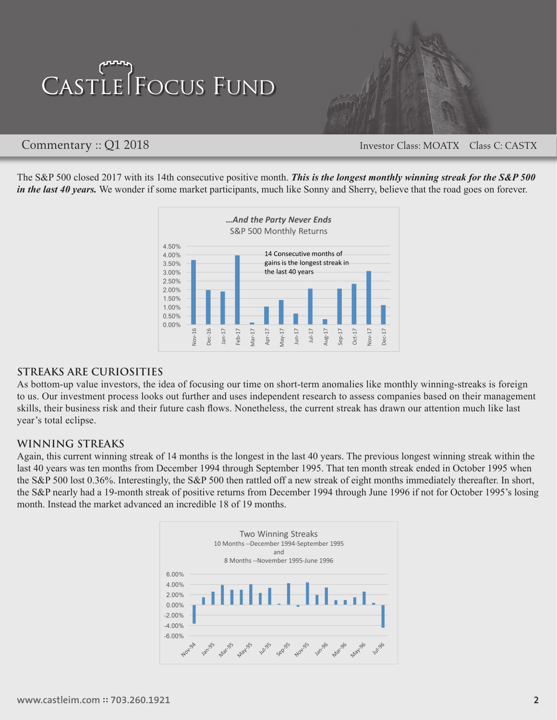

Commentary :: Q1 2018 Investor Class: MOATX Class C: CASTX

The S&P 500 closed 2017 with its 14th consecutive positive month. *This is the longest monthly winning streak for the S&P 500 in the last 40 years.* We wonder if some market participants, much like Sonny and Sherry, believe that the road goes on forever.



#### **STREAKS ARE CURIOSITIES**

As bottom-up value investors, the idea of focusing our time on short-term anomalies like monthly winning-streaks is foreign to us. Our investment process looks out further and uses independent research to assess companies based on their management skills, their business risk and their future cash flows. Nonetheless, the current streak has drawn our attention much like last year's total eclipse.

#### **WINNING STREAKS**

Again, this current winning streak of 14 months is the longest in the last 40 years. The previous longest winning streak within the last 40 years was ten months from December 1994 through September 1995. That ten month streak ended in October 1995 when the S&P 500 lost 0.36%. Interestingly, the S&P 500 then rattled off a new streak of eight months immediately thereafter. In short, the S&P nearly had a 19-month streak of positive returns from December 1994 through June 1996 if not for October 1995's losing month. Instead the market advanced an incredible 18 of 19 months.

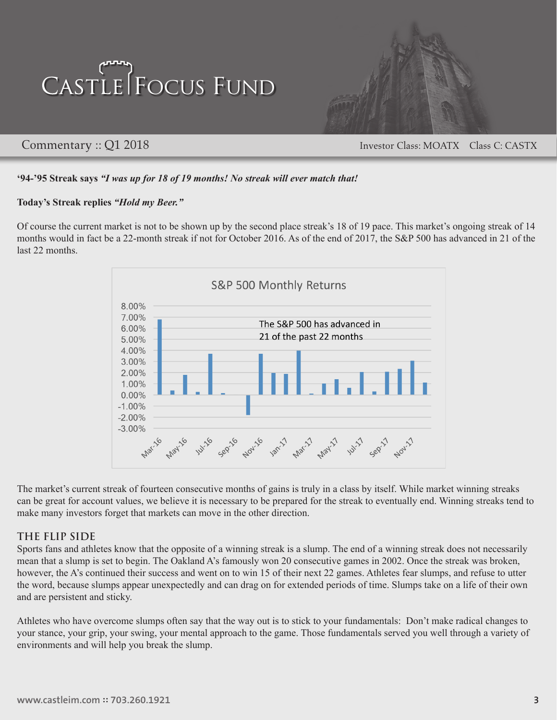

Commentary :: Q1 2018 Investor Class: MOATX Class C: CASTX

#### **'94-'95 Streak says** *"I was up for 18 of 19 months! No streak will ever match that!*

#### **Today's Streak replies** *"Hold my Beer."*

Of course the current market is not to be shown up by the second place streak's 18 of 19 pace. This market's ongoing streak of 14 months would in fact be a 22-month streak if not for October 2016. As of the end of 2017, the S&P 500 has advanced in 21 of the last 22 months.



The market's current streak of fourteen consecutive months of gains is truly in a class by itself. While market winning streaks can be great for account values, we believe it is necessary to be prepared for the streak to eventually end. Winning streaks tend to make many investors forget that markets can move in the other direction.

#### **THE FLIP SIDE**

Sports fans and athletes know that the opposite of a winning streak is a slump. The end of a winning streak does not necessarily mean that a slump is set to begin. The Oakland A's famously won 20 consecutive games in 2002. Once the streak was broken, however, the A's continued their success and went on to win 15 of their next 22 games. Athletes fear slumps, and refuse to utter the word, because slumps appear unexpectedly and can drag on for extended periods of time. Slumps take on a life of their own and are persistent and sticky.

Athletes who have overcome slumps often say that the way out is to stick to your fundamentals: Don't make radical changes to your stance, your grip, your swing, your mental approach to the game. Those fundamentals served you well through a variety of environments and will help you break the slump.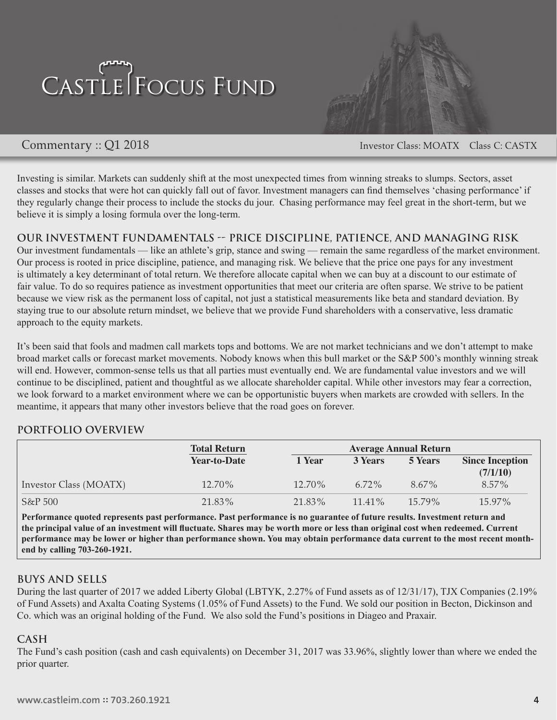

Commentary :: Q1 2018 Investor Class: MOATX Class C: CASTX

Investing is similar. Markets can suddenly shift at the most unexpected times from winning streaks to slumps. Sectors, asset classes and stocks that were hot can quickly fall out of favor. Investment managers can find themselves 'chasing performance' if they regularly change their process to include the stocks du jour. Chasing performance may feel great in the short-term, but we believe it is simply a losing formula over the long-term.

**OUR INVESTMENT FUNDAMENTALS -- PRICE DISCIPLINE, PATIENCE, AND MANAGING RISK** Our investment fundamentals — like an athlete's grip, stance and swing — remain the same regardless of the market environment. Our process is rooted in price discipline, patience, and managing risk. We believe that the price one pays for any investment is ultimately a key determinant of total return. We therefore allocate capital when we can buy at a discount to our estimate of fair value. To do so requires patience as investment opportunities that meet our criteria are often sparse. We strive to be patient because we view risk as the permanent loss of capital, not just a statistical measurements like beta and standard deviation. By staying true to our absolute return mindset, we believe that we provide Fund shareholders with a conservative, less dramatic approach to the equity markets.

It's been said that fools and madmen call markets tops and bottoms. We are not market technicians and we don't attempt to make broad market calls or forecast market movements. Nobody knows when this bull market or the S&P 500's monthly winning streak will end. However, common-sense tells us that all parties must eventually end. We are fundamental value investors and we will continue to be disciplined, patient and thoughtful as we allocate shareholder capital. While other investors may fear a correction, we look forward to a market environment where we can be opportunistic buyers when markets are crowded with sellers. In the meantime, it appears that many other investors believe that the road goes on forever.

#### **PORTFOLIO OVERVIEW**

|                        | <b>Total Return</b> | <b>Average Annual Return</b> |                |                |                                    |
|------------------------|---------------------|------------------------------|----------------|----------------|------------------------------------|
|                        | <b>Year-to-Date</b> | 1 Year                       | <b>3 Years</b> | <b>5 Years</b> | <b>Since Inception</b><br>(7/1/10) |
| Investor Class (MOATX) | 12.70%              | 12.70%                       | $6.72\%$       | $8.67\%$       | $8.57\%$                           |
| $S\&P500$              | 21.83%              | 21.83%                       | $11.41\%$      | $15.79\%$      | 15.97%                             |

**Performance quoted represents past performance. Past performance is no guarantee of future results. Investment return and the principal value of an investment will fluctuate. Shares may be worth more or less than original cost when redeemed. Current performance may be lower or higher than performance shown. You may obtain performance data current to the most recent monthend by calling 703-260-1921.** 

#### **BUYS AND SELLS**

During the last quarter of 2017 we added Liberty Global (LBTYK, 2.27% of Fund assets as of 12/31/17), TJX Companies (2.19% of Fund Assets) and Axalta Coating Systems (1.05% of Fund Assets) to the Fund. We sold our position in Becton, Dickinson and Co. which was an original holding of the Fund. We also sold the Fund's positions in Diageo and Praxair.

#### **CASH**

The Fund's cash position (cash and cash equivalents) on December 31, 2017 was 33.96%, slightly lower than where we ended the prior quarter.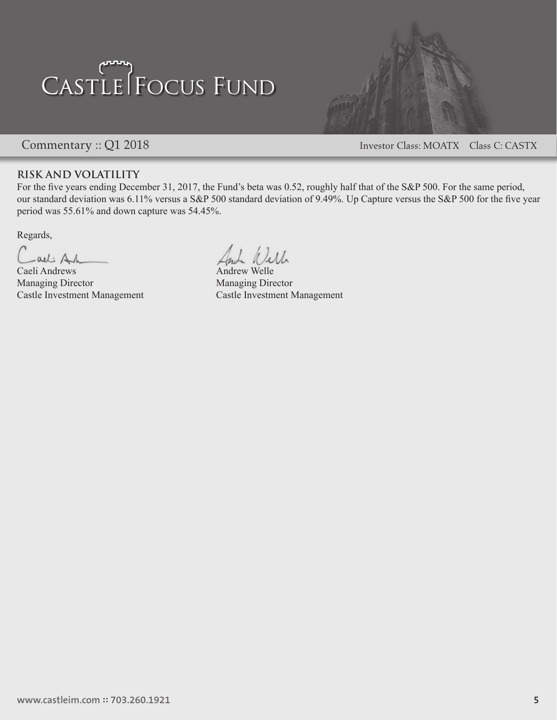

Commentary :: Q1 2018 Investor Class: MOATX Class C: CASTX

#### **RISK AND VOLATILITY**

For the five years ending December 31, 2017, the Fund's beta was 0.52, roughly half that of the S&P 500. For the same period, our standard deviation was 6.11% versus a S&P 500 standard deviation of 9.49%. Up Capture versus the S&P 500 for the five year period was 55.61% and down capture was 54.45%.

Regards,

-all Ah

Caeli Andrews Andrew Welle Managing Director Managing Director

Jella

Castle Investment Management Castle Investment Management